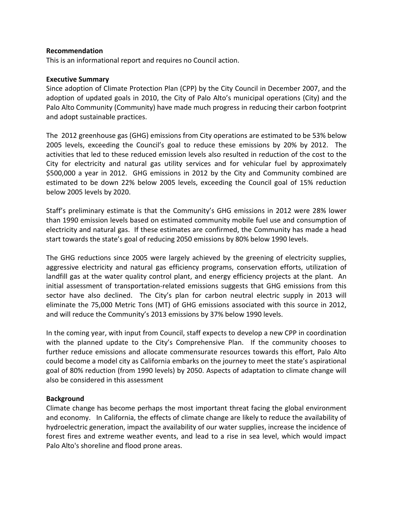#### **Recommendation**

This is an informational report and requires no Council action.

#### **Executive Summary**

Since adoption of Climate Protection Plan (CPP) by the City Council in December 2007, and the adoption of updated goals in 2010, the City of Palo Alto's municipal operations (City) and the Palo Alto Community (Community) have made much progress in reducing their carbon footprint and adopt sustainable practices.

The 2012 greenhouse gas (GHG) emissions from City operations are estimated to be 53% below 2005 levels, exceeding the Council's goal to reduce these emissions by 20% by 2012. The activities that led to these reduced emission levels also resulted in reduction of the cost to the City for electricity and natural gas utility services and for vehicular fuel by approximately \$500,000 a year in 2012. GHG emissions in 2012 by the City and Community combined are estimated to be down 22% below 2005 levels, exceeding the Council goal of 15% reduction below 2005 levels by 2020.

Staff's preliminary estimate is that the Community's GHG emissions in 2012 were 28% lower than 1990 emission levels based on estimated community mobile fuel use and consumption of electricity and natural gas. If these estimates are confirmed, the Community has made a head start towards the state's goal of reducing 2050 emissions by 80% below 1990 levels.

The GHG reductions since 2005 were largely achieved by the greening of electricity supplies, aggressive electricity and natural gas efficiency programs, conservation efforts, utilization of landfill gas at the water quality control plant, and energy efficiency projects at the plant. An initial assessment of transportation-related emissions suggests that GHG emissions from this sector have also declined. The City's plan for carbon neutral electric supply in 2013 will eliminate the 75,000 Metric Tons (MT) of GHG emissions associated with this source in 2012, and will reduce the Community's 2013 emissions by 37% below 1990 levels.

In the coming year, with input from Council, staff expects to develop a new CPP in coordination with the planned update to the City's Comprehensive Plan. If the community chooses to further reduce emissions and allocate commensurate resources towards this effort, Palo Alto could become a model city as California embarks on the journey to meet the state's aspirational goal of 80% reduction (from 1990 levels) by 2050. Aspects of adaptation to climate change will also be considered in this assessment

### **Background**

Climate change has become perhaps the most important threat facing the global environment and economy. In California, the effects of climate change are likely to reduce the availability of hydroelectric generation, impact the availability of our water supplies, increase the incidence of forest fires and extreme weather events, and lead to a rise in sea level, which would impact Palo Alto's shoreline and flood prone areas.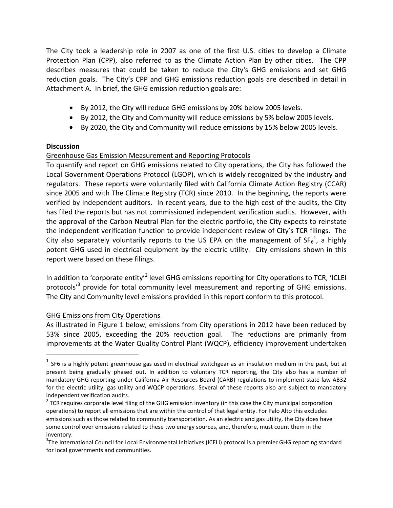The City took a leadership role in 2007 as one of the first U.S. cities to develop a Climate Protection Plan (CPP), also referred to as the Climate Action Plan by other cities. The CPP describes measures that could be taken to reduce the City's GHG emissions and set GHG reduction goals. The City's CPP and GHG emissions reduction goals are described in detail in Attachment A. In brief, the GHG emission reduction goals are:

- By 2012, the City will reduce GHG emissions by 20% below 2005 levels.
- By 2012, the City and Community will reduce emissions by 5% below 2005 levels.
- By 2020, the City and Community will reduce emissions by 15% below 2005 levels.

### **Discussion**

 $\overline{a}$ 

## Greenhouse Gas Emission Measurement and Reporting Protocols

To quantify and report on GHG emissions related to City operations, the City has followed the Local Government Operations Protocol (LGOP), which is widely recognized by the industry and regulators. These reports were voluntarily filed with California Climate Action Registry (CCAR) since 2005 and with The Climate Registry (TCR) since 2010. In the beginning, the reports were verified by independent auditors. In recent years, due to the high cost of the audits, the City has filed the reports but has not commissioned independent verification audits. However, with the approval of the Carbon Neutral Plan for the electric portfolio, the City expects to reinstate the independent verification function to provide independent review of City's TCR filings. The City also separately voluntarily reports to the US EPA on the management of SF $_6^1$ , a highly potent GHG used in electrical equipment by the electric utility. City emissions shown in this report were based on these filings.

In addition to 'corporate entity'<sup>2</sup> level GHG emissions reporting for City operations to TCR, 'ICLEI protocols<sup>,3</sup> provide for total community level measurement and reporting of GHG emissions. The City and Community level emissions provided in this report conform to this protocol.

### GHG Emissions from City Operations

As illustrated in Figure 1 below, emissions from City operations in 2012 have been reduced by 53% since 2005, exceeding the 20% reduction goal. The reductions are primarily from improvements at the Water Quality Control Plant (WQCP), efficiency improvement undertaken

 $^1$  SF6 is a highly potent greenhouse gas used in electrical switchgear as an insulation medium in the past, but at present being gradually phased out. In addition to voluntary TCR reporting, the City also has a number of mandatory GHG reporting under California Air Resources Board (CARB) regulations to implement state law AB32 for the electric utility, gas utility and WQCP operations. Several of these reports also are subject to mandatory independent verification audits.

 $2$  TCR requires corporate level filing of the GHG emission inventory (in this case the City municipal corporation operations) to report all emissions that are within the control of that legal entity. For Palo Alto this excludes emissions such as those related to community transportation. As an electric and gas utility, the City does have some control over emissions related to these two energy sources, and, therefore, must count them in the inventory.

<sup>&</sup>lt;sup>3</sup>The International Council for Local Environmental Initiatives (ICELI) protocol is a premier GHG reporting standard for local governments and communities.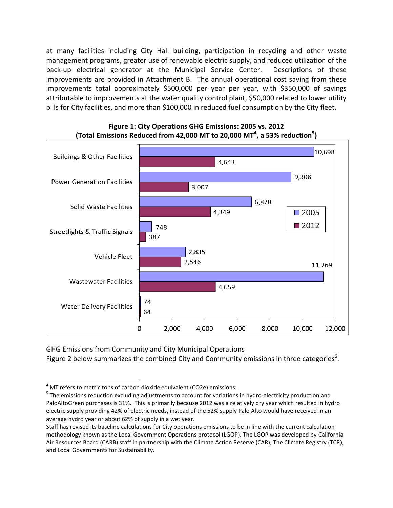at many facilities including City Hall building, participation in recycling and other waste management programs, greater use of renewable electric supply, and reduced utilization of the back-up electrical generator at the Municipal Service Center. Descriptions of these improvements are provided in Attachment B. The annual operational cost saving from these improvements total approximately \$500,000 per year per year, with \$350,000 of savings attributable to improvements at the water quality control plant, \$50,000 related to lower utility bills for City facilities, and more than \$100,000 in reduced fuel consumption by the City fleet.



**Figure 1: City Operations GHG Emissions: 2005 vs. 2012 (Total Emissions Reduced from 42,000 MT to 20,000 MT<sup>4</sup> , a 53% reduction<sup>5</sup> )**

GHG Emissions from Community and City Municipal Operations

Figure 2 below summarizes the combined City and Community emissions in three categories<sup>6</sup>.

 $\overline{a}$ 

 $4$  MT refers to metric tons of carbon dioxide equivalent (CO2e) emissions.

<sup>&</sup>lt;sup>5</sup> The emissions reduction excluding adjustments to account for variations in hydro-electricity production and PaloAltoGreen purchases is 31%. This is primarily because 2012 was a relatively dry year which resulted in hydro electric supply providing 42% of electric needs, instead of the 52% supply Palo Alto would have received in an average hydro year or about 62% of supply in a wet year.

Staff has revised its baseline calculations for City operations emissions to be in line with the current calculation methodology known as the Local Government Operations protocol (LGOP). The LGOP was developed by California Air Resources Board (CARB) staff in partnership with the Climate Action Reserve (CAR), The Climate Registry (TCR), and Local Governments for Sustainability.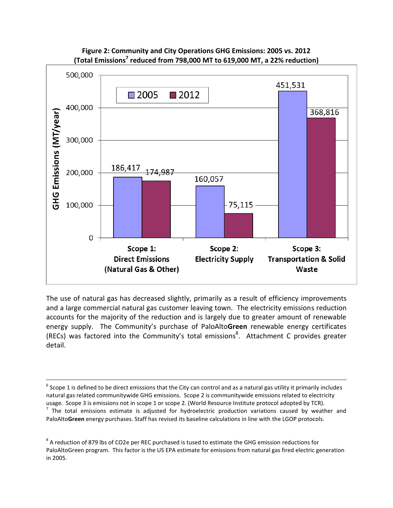



The use of natural gas has decreased slightly, primarily as a result of efficiency improvements and a large commercial natural gas customer leaving town. The electricity emissions reduction accounts for the majority of the reduction and is largely due to greater amount of renewable energy supply. The Community's purchase of PaloAlto**Green** renewable energy certificates (RECs) was factored into the Community's total emissions<sup>8</sup>. Attachment C provides greater detail.

 $\overline{a}$ 

 $^6$  Scope 1 is defined to be direct emissions that the City can control and as a natural gas utility it primarily includes natural gas related communitywide GHG emissions. Scope 2 is communitywide emissions related to electricity usage. Scope 3 is emissions not in scope 1 or scope 2. (World Resource Institute protocol adopted by TCR).  $<sup>7</sup>$  The total emissions estimate is adjusted for hydroelectric production variations caused by weather and</sup> PaloAlto**Green** energy purchases. Staff has revised its baseline calculations in line with the LGOP protocols.

 $^8$  A reduction of 879 lbs of CO2e per REC purchased is tused to estimate the GHG emission reductions for PaloAltoGreen program. This factor is the US EPA estimate for emissions from natural gas fired electric generation in 2005.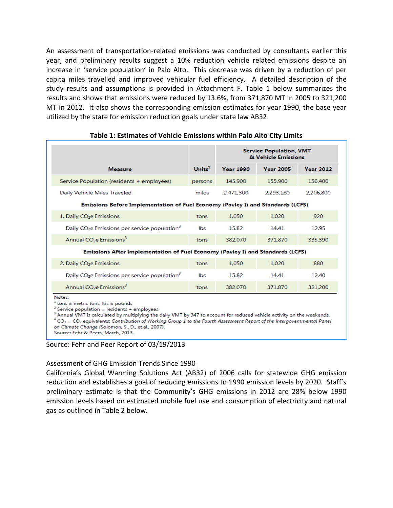An assessment of transportation-related emissions was conducted by consultants earlier this year, and preliminary results suggest a 10% reduction vehicle related emissions despite an increase in 'service population' in Palo Alto. This decrease was driven by a reduction of per capita miles travelled and improved vehicular fuel efficiency. A detailed description of the study results and assumptions is provided in Attachment F. Table 1 below summarizes the results and shows that emissions were reduced by 13.6%, from 371,870 MT in 2005 to 321,200 MT in 2012. It also shows the corresponding emission estimates for year 1990, the base year utilized by the state for emission reduction goals under state law AB32.

|                                                                                                                                                                                                                                                                                                                                                                                               |           | <b>Service Population, VMT</b><br>& Vehicle Emissions |                        |                  |  |  |
|-----------------------------------------------------------------------------------------------------------------------------------------------------------------------------------------------------------------------------------------------------------------------------------------------------------------------------------------------------------------------------------------------|-----------|-------------------------------------------------------|------------------------|------------------|--|--|
| <b>Measure</b>                                                                                                                                                                                                                                                                                                                                                                                | Units $1$ | <b>Year 1990</b>                                      | <b>Year 2005</b>       | <b>Year 2012</b> |  |  |
| Service Population (residents + employees)                                                                                                                                                                                                                                                                                                                                                    | persons   | 145,900                                               | 155,900                | 156,400          |  |  |
| Daily Vehicle Miles Traveled                                                                                                                                                                                                                                                                                                                                                                  | miles     | 2,471,300                                             | 2,293,180<br>2,206,800 |                  |  |  |
| Emissions Before Implementation of Fuel Economy (Pavley I) and Standards (LCFS)                                                                                                                                                                                                                                                                                                               |           |                                                       |                        |                  |  |  |
| 1. Daily CO <sub>2</sub> e Emissions                                                                                                                                                                                                                                                                                                                                                          | tons      | 1.050                                                 | 1.020                  | 920              |  |  |
| Daily CO <sub>2</sub> e Emissions per service population <sup>3</sup>                                                                                                                                                                                                                                                                                                                         | lbs       | 15.82                                                 | 14.41                  | 12.95            |  |  |
| Annual CO <sub>2</sub> e Emissions <sup>3</sup>                                                                                                                                                                                                                                                                                                                                               | tons      | 382,070                                               | 371.870                | 335.390          |  |  |
| Emissions After Implementation of Fuel Economy (Pavley I) and Standards (LCFS)                                                                                                                                                                                                                                                                                                                |           |                                                       |                        |                  |  |  |
| 2. Daily CO <sub>2</sub> e Emissions                                                                                                                                                                                                                                                                                                                                                          | tons      | 1.050                                                 | 1.020                  | 880              |  |  |
| Daily CO <sub>2</sub> e Emissions per service population <sup>3</sup>                                                                                                                                                                                                                                                                                                                         | lbs       | 15.82                                                 | 14.41                  | 12.40            |  |  |
| Annual CO <sub>2</sub> e Emissions <sup>3</sup>                                                                                                                                                                                                                                                                                                                                               | tons      | 382.070                                               | 371.870                | 321,200          |  |  |
| Notes:<br>$1$ tons = metric tons, lbs = pounds<br>$2$ Service population = residents + employees.<br><sup>3</sup> Annual VMT is calculated by multiplying the daily VMT by 347 to account for reduced vehicle activity on the weekends.<br>$^4$ CO <sub>2</sub> = CO <sub>2</sub> equivalents; Contribution of Working Group 1 to the Fourth Assessment Report of the Intergovernmental Panel |           |                                                       |                        |                  |  |  |

## **Table 1: Estimates of Vehicle Emissions within Palo Alto City Limits**

Source: Fehr and Peer Report of 03/19/2013

on Climate Change (Solomon, S., D., et.al., 2007).

Source: Fehr & Peers, March, 2013.

#### Assessment of GHG Emission Trends Since 1990

California's Global Warming Solutions Act (AB32) of 2006 calls for statewide GHG emission reduction and establishes a goal of reducing emissions to 1990 emission levels by 2020. Staff's preliminary estimate is that the Community's GHG emissions in 2012 are 28% below 1990 emission levels based on estimated mobile fuel use and consumption of electricity and natural gas as outlined in Table 2 below.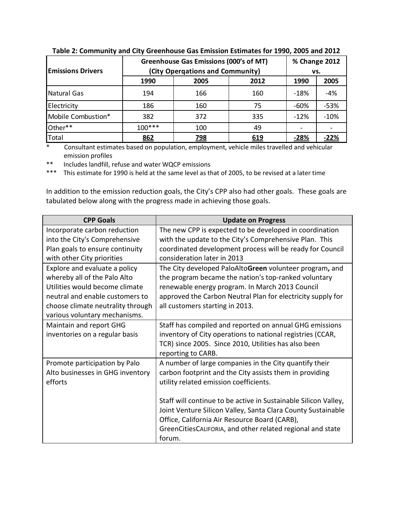| <b>Emissions Drivers</b> | <b>Greenhouse Gas Emissions (000's of MT)</b><br>(City Opergations and Community) |      |      |        |        |
|--------------------------|-----------------------------------------------------------------------------------|------|------|--------|--------|
|                          | 1990                                                                              | 2005 | 2012 | 1990   | 2005   |
| Natural Gas              | 194                                                                               | 166  | 160  | -18%   | $-4%$  |
| Electricity              | 186                                                                               | 160  | 75   | $-60%$ | $-53%$ |
| Mobile Combustion*       | 382                                                                               | 372  | 335  | $-12%$ | $-10%$ |
| Other**                  | $100***$                                                                          | 100  | 49   |        |        |
| Total                    | 862                                                                               | 798  | 619  | $-28%$ | $-22%$ |

**Table 2: Community and City Greenhouse Gas Emission Estimates for 1990, 2005 and 2012**

\* Consultant estimates based on population, employment, vehicle miles travelled and vehicular emission profiles<br>A locudes landfill

Includes landfill, refuse and water WQCP emissions

\*\*\* This estimate for 1990 is held at the same level as that of 2005, to be revised at a later time

In addition to the emission reduction goals, the City's CPP also had other goals. These goals are tabulated below along with the progress made in achieving those goals.

| <b>CPP Goals</b>                  | <b>Update on Progress</b>                                       |
|-----------------------------------|-----------------------------------------------------------------|
| Incorporate carbon reduction      | The new CPP is expected to be developed in coordination         |
| into the City's Comprehensive     | with the update to the City's Comprehensive Plan. This          |
| Plan goals to ensure continuity   | coordinated development process will be ready for Council       |
| with other City priorities        | consideration later in 2013                                     |
| Explore and evaluate a policy     | The City developed PaloAltoGreen volunteer program, and         |
| whereby all of the Palo Alto      | the program became the nation's top-ranked voluntary            |
| Utilities would become climate    | renewable energy program. In March 2013 Council                 |
| neutral and enable customers to   | approved the Carbon Neutral Plan for electricity supply for     |
| choose climate neutrality through | all customers starting in 2013.                                 |
| various voluntary mechanisms.     |                                                                 |
| Maintain and report GHG           | Staff has compiled and reported on annual GHG emissions         |
| inventories on a regular basis    | inventory of City operations to national registries (CCAR,      |
|                                   | TCR) since 2005. Since 2010, Utilities has also been            |
|                                   | reporting to CARB.                                              |
| Promote participation by Palo     | A number of large companies in the City quantify their          |
| Alto businesses in GHG inventory  | carbon footprint and the City assists them in providing         |
| efforts                           | utility related emission coefficients.                          |
|                                   |                                                                 |
|                                   | Staff will continue to be active in Sustainable Silicon Valley, |
|                                   | Joint Venture Silicon Valley, Santa Clara County Sustainable    |
|                                   | Office, California Air Resource Board (CARB),                   |
|                                   | GreenCitiesCALIFORIA, and other related regional and state      |
|                                   | forum.                                                          |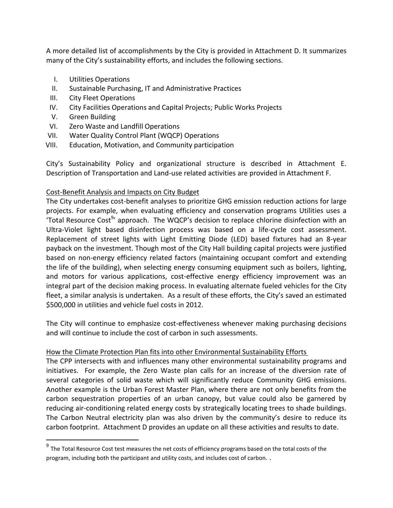A more detailed list of accomplishments by the City is provided in Attachment D. It summarizes many of the City's sustainability efforts, and includes the following sections.

- I. Utilities Operations
- II. Sustainable Purchasing, IT and Administrative Practices
- III. City Fleet Operations
- IV. City Facilities Operations and Capital Projects; Public Works Projects
- V. Green Building

 $\overline{a}$ 

- VI. Zero Waste and Landfill Operations
- VII. Water Quality Control Plant (WQCP) Operations
- VIII. Education, Motivation, and Community participation

City's Sustainability Policy and organizational structure is described in Attachment E. Description of Transportation and Land-use related activities are provided in Attachment F.

# Cost-Benefit Analysis and Impacts on City Budget

The City undertakes cost-benefit analyses to prioritize GHG emission reduction actions for large projects. For example, when evaluating efficiency and conservation programs Utilities uses a 'Total Resource Cost<sup>9</sup>' approach. The WQCP's decision to replace chlorine disinfection with an Ultra-Violet light based disinfection process was based on a life-cycle cost assessment. Replacement of street lights with Light Emitting Diode (LED) based fixtures had an 8-year payback on the investment. Though most of the City Hall building capital projects were justified based on non-energy efficiency related factors (maintaining occupant comfort and extending the life of the building), when selecting energy consuming equipment such as boilers, lighting, and motors for various applications, cost-effective energy efficiency improvement was an integral part of the decision making process. In evaluating alternate fueled vehicles for the City fleet, a similar analysis is undertaken. As a result of these efforts, the City's saved an estimated \$500,000 in utilities and vehicle fuel costs in 2012.

The City will continue to emphasize cost-effectiveness whenever making purchasing decisions and will continue to include the cost of carbon in such assessments.

# How the Climate Protection Plan fits into other Environmental Sustainability Efforts

The CPP intersects with and influences many other environmental sustainability programs and initiatives. For example, the Zero Waste plan calls for an increase of the diversion rate of several categories of solid waste which will significantly reduce Community GHG emissions. Another example is the Urban Forest Master Plan, where there are not only benefits from the carbon sequestration properties of an urban canopy, but value could also be garnered by reducing air-conditioning related energy costs by strategically locating trees to shade buildings. The Carbon Neutral electricity plan was also driven by the community's desire to reduce its carbon footprint. Attachment D provides an update on all these activities and results to date.

 $^9$  The Total Resource Cost test measures the net costs of efficiency programs based on the total costs of the program, including both the participant and utility costs, and includes cost of carbon. .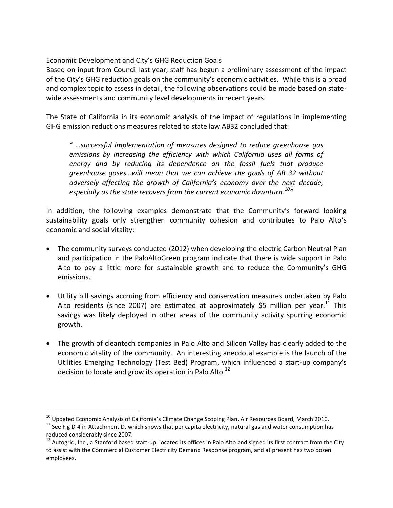## Economic Development and City's GHG Reduction Goals

Based on input from Council last year, staff has begun a preliminary assessment of the impact of the City's GHG reduction goals on the community's economic activities. While this is a broad and complex topic to assess in detail, the following observations could be made based on statewide assessments and community level developments in recent years.

The State of California in its economic analysis of the impact of regulations in implementing GHG emission reductions measures related to state law AB32 concluded that:

*" …successful implementation of measures designed to reduce greenhouse gas*  emissions by increasing the efficiency with which California uses all forms of *energy and by reducing its dependence on the fossil fuels that produce greenhouse gases…will mean that we can achieve the goals of AB 32 without adversely affecting the growth of California's economy over the next decade, especially as the state recovers from the current economic downturn.<sup>10</sup>"*

In addition, the following examples demonstrate that the Community's forward looking sustainability goals only strengthen community cohesion and contributes to Palo Alto's economic and social vitality:

- The community surveys conducted (2012) when developing the electric Carbon Neutral Plan and participation in the PaloAltoGreen program indicate that there is wide support in Palo Alto to pay a little more for sustainable growth and to reduce the Community's GHG emissions.
- Utility bill savings accruing from efficiency and conservation measures undertaken by Palo Alto residents (since 2007) are estimated at approximately \$5 million per year.<sup>11</sup> This savings was likely deployed in other areas of the community activity spurring economic growth.
- The growth of cleantech companies in Palo Alto and Silicon Valley has clearly added to the economic vitality of the community. An interesting anecdotal example is the launch of the Utilities Emerging Technology (Test Bed) Program, which influenced a start-up company's decision to locate and grow its operation in Palo Alto. $^{12}$

 $\overline{a}$ 

<sup>&</sup>lt;sup>10</sup> Updated Economic Analysis of California's Climate Change Scoping Plan. Air Resources Board, March 2010.

 $11$  See Fig D-4 in Attachment D, which shows that per capita electricity, natural gas and water consumption has reduced considerably since 2007.

 $12$  Autogrid, Inc., a Stanford based start-up, located its offices in Palo Alto and signed its first contract from the City to assist with the Commercial Customer Electricity Demand Response program, and at present has two dozen employees.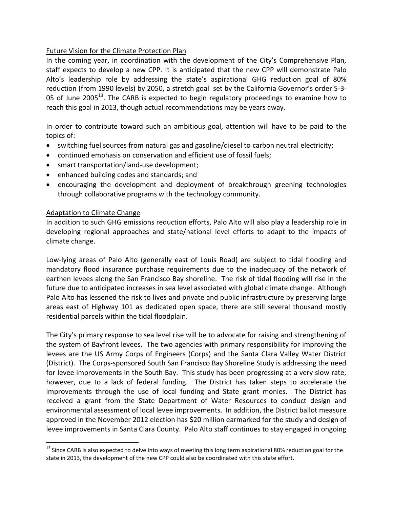## Future Vision for the Climate Protection Plan

In the coming year, in coordination with the development of the City's Comprehensive Plan, staff expects to develop a new CPP. It is anticipated that the new CPP will demonstrate Palo Alto's leadership role by addressing the state's aspirational GHG reduction goal of 80% reduction (from 1990 levels) by 2050, a stretch goal set by the California Governor's order S-3- 05 of June 2005 $^{13}$ . The CARB is expected to begin regulatory proceedings to examine how to reach this goal in 2013, though actual recommendations may be years away.

In order to contribute toward such an ambitious goal, attention will have to be paid to the topics of:

- switching fuel sources from natural gas and gasoline/diesel to carbon neutral electricity;
- continued emphasis on conservation and efficient use of fossil fuels;
- smart transportation/land-use development;
- enhanced building codes and standards; and
- encouraging the development and deployment of breakthrough greening technologies through collaborative programs with the technology community.

### Adaptation to Climate Change

 $\overline{a}$ 

In addition to such GHG emissions reduction efforts, Palo Alto will also play a leadership role in developing regional approaches and state/national level efforts to adapt to the impacts of climate change.

Low-lying areas of Palo Alto (generally east of Louis Road) are subject to tidal flooding and mandatory flood insurance purchase requirements due to the inadequacy of the network of earthen levees along the San Francisco Bay shoreline. The risk of tidal flooding will rise in the future due to anticipated increases in sea level associated with global climate change. Although Palo Alto has lessened the risk to lives and private and public infrastructure by preserving large areas east of Highway 101 as dedicated open space, there are still several thousand mostly residential parcels within the tidal floodplain.

The City's primary response to sea level rise will be to advocate for raising and strengthening of the system of Bayfront levees. The two agencies with primary responsibility for improving the levees are the US Army Corps of Engineers (Corps) and the Santa Clara Valley Water District (District). The Corps-sponsored South San Francisco Bay Shoreline Study is addressing the need for levee improvements in the South Bay. This study has been progressing at a very slow rate, however, due to a lack of federal funding. The District has taken steps to accelerate the improvements through the use of local funding and State grant monies. The District has received a grant from the State Department of Water Resources to conduct design and environmental assessment of local levee improvements. In addition, the District ballot measure approved in the November 2012 election has \$20 million earmarked for the study and design of levee improvements in Santa Clara County. Palo Alto staff continues to stay engaged in ongoing

 $13$  Since CARB is also expected to delve into ways of meeting this long term aspirational 80% reduction goal for the state in 2013, the development of the new CPP could also be coordinated with this state effort.